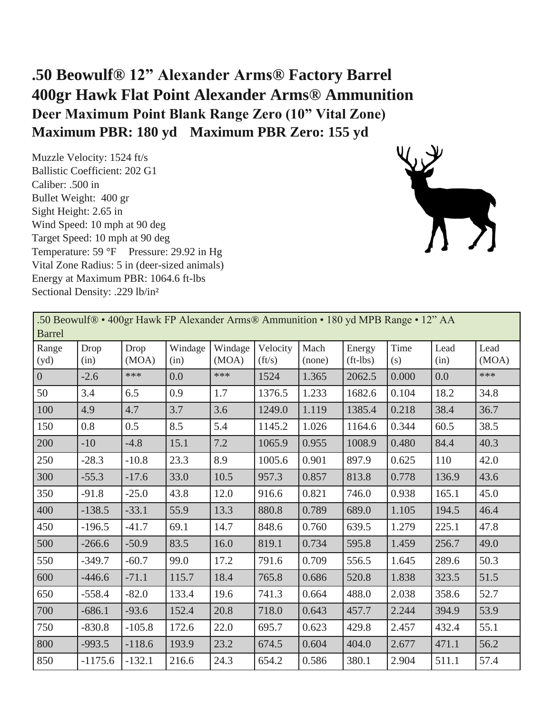## **.50 Beowulf® 12" Alexander Arms® Factory Barrel 400gr Hawk Flat Point Alexander Arms® Ammunition Deer Maximum Point Blank Range Zero (10" Vital Zone) Maximum PBR: 180 yd Maximum PBR Zero: 155 yd**

Muzzle Velocity: 1524 ft/s Ballistic Coefficient: 202 G1 Caliber: .500 in Bullet Weight: 400 gr Sight Height: 2.65 in Wind Speed: 10 mph at 90 deg Target Speed: 10 mph at 90 deg Temperature: 59 °F Pressure: 29.92 in Hg Vital Zone Radius: 5 in (deer-sized animals) Energy at Maximum PBR: 1064.6 ft-lbs Sectional Density: .229 lb/in²



| .50 Beowulf® • 400gr Hawk FP Alexander Arms® Ammunition • 180 yd MPB Range • 12" AA<br><b>Barrel</b> |              |               |                 |                  |                            |                |                      |             |              |               |  |
|------------------------------------------------------------------------------------------------------|--------------|---------------|-----------------|------------------|----------------------------|----------------|----------------------|-------------|--------------|---------------|--|
| Range<br>(yd)                                                                                        | Drop<br>(in) | Drop<br>(MOA) | Windage<br>(in) | Windage<br>(MOA) | Velocity<br>$({\rm ft/s})$ | Mach<br>(none) | Energy<br>$(ft-lbs)$ | Time<br>(s) | Lead<br>(in) | Lead<br>(MOA) |  |
| $\overline{0}$                                                                                       | $-2.6$       | ***           | 0.0             | ***              | 1524                       | 1.365          | 2062.5               | 0.000       | 0.0          | ***           |  |
| 50                                                                                                   | 3.4          | 6.5           | 0.9             | 1.7              | 1376.5                     | 1.233          | 1682.6               | 0.104       | 18.2         | 34.8          |  |
| 100                                                                                                  | 4.9          | 4.7           | 3.7             | 3.6              | 1249.0                     | 1.119          | 1385.4               | 0.218       | 38.4         | 36.7          |  |
| 150                                                                                                  | 0.8          | 0.5           | 8.5             | 5.4              | 1145.2                     | 1.026          | 1164.6               | 0.344       | 60.5         | 38.5          |  |
| 200                                                                                                  | $-10$        | $-4.8$        | 15.1            | 7.2              | 1065.9                     | 0.955          | 1008.9               | 0.480       | 84.4         | 40.3          |  |
| 250                                                                                                  | $-28.3$      | $-10.8$       | 23.3            | 8.9              | 1005.6                     | 0.901          | 897.9                | 0.625       | 110          | 42.0          |  |
| 300                                                                                                  | $-55.3$      | $-17.6$       | 33.0            | 10.5             | 957.3                      | 0.857          | 813.8                | 0.778       | 136.9        | 43.6          |  |
| 350                                                                                                  | $-91.8$      | $-25.0$       | 43.8            | 12.0             | 916.6                      | 0.821          | 746.0                | 0.938       | 165.1        | 45.0          |  |
| 400                                                                                                  | $-138.5$     | $-33.1$       | 55.9            | 13.3             | 880.8                      | 0.789          | 689.0                | 1.105       | 194.5        | 46.4          |  |
| 450                                                                                                  | $-196.5$     | $-41.7$       | 69.1            | 14.7             | 848.6                      | 0.760          | 639.5                | 1.279       | 225.1        | 47.8          |  |
| 500                                                                                                  | $-266.6$     | $-50.9$       | 83.5            | 16.0             | 819.1                      | 0.734          | 595.8                | 1.459       | 256.7        | 49.0          |  |
| 550                                                                                                  | $-349.7$     | $-60.7$       | 99.0            | 17.2             | 791.6                      | 0.709          | 556.5                | 1.645       | 289.6        | 50.3          |  |
| 600                                                                                                  | $-446.6$     | $-71.1$       | 115.7           | 18.4             | 765.8                      | 0.686          | 520.8                | 1.838       | 323.5        | 51.5          |  |
| 650                                                                                                  | $-558.4$     | $-82.0$       | 133.4           | 19.6             | 741.3                      | 0.664          | 488.0                | 2.038       | 358.6        | 52.7          |  |
| 700                                                                                                  | $-686.1$     | $-93.6$       | 152.4           | 20.8             | 718.0                      | 0.643          | 457.7                | 2.244       | 394.9        | 53.9          |  |
| 750                                                                                                  | $-830.8$     | $-105.8$      | 172.6           | 22.0             | 695.7                      | 0.623          | 429.8                | 2.457       | 432.4        | 55.1          |  |
| 800                                                                                                  | $-993.5$     | $-118.6$      | 193.9           | 23.2             | 674.5                      | 0.604          | 404.0                | 2.677       | 471.1        | 56.2          |  |
| 850                                                                                                  | $-1175.6$    | $-132.1$      | 216.6           | 24.3             | 654.2                      | 0.586          | 380.1                | 2.904       | 511.1        | 57.4          |  |